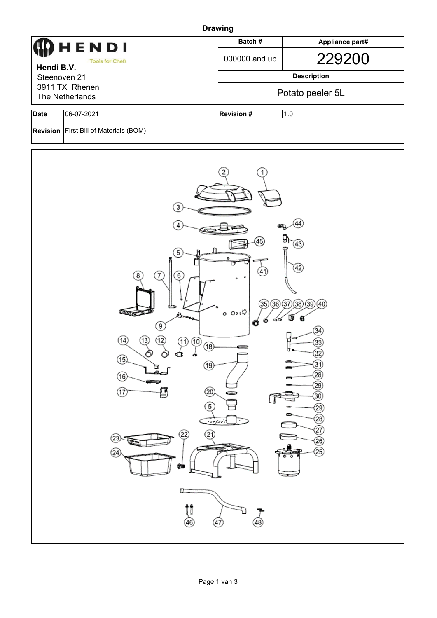| <b>Drawing</b>                                                                                              |                                               |                  |                    |  |  |  |  |  |
|-------------------------------------------------------------------------------------------------------------|-----------------------------------------------|------------------|--------------------|--|--|--|--|--|
| $\bf{Q}$ HENDI<br><b>Tools for Chefs</b><br>Hendi B.V.<br>Steenoven 21<br>3911 TX Rhenen<br>The Netherlands |                                               | Batch#           | Appliance part#    |  |  |  |  |  |
|                                                                                                             |                                               | 000000 and up    | 229200             |  |  |  |  |  |
|                                                                                                             |                                               |                  | <b>Description</b> |  |  |  |  |  |
|                                                                                                             |                                               |                  | Potato peeler 5L   |  |  |  |  |  |
| <b>Date</b>                                                                                                 | 06-07-2021                                    | <b>Revision#</b> | 1.0                |  |  |  |  |  |
|                                                                                                             | <b>Revision First Bill of Materials (BOM)</b> |                  |                    |  |  |  |  |  |

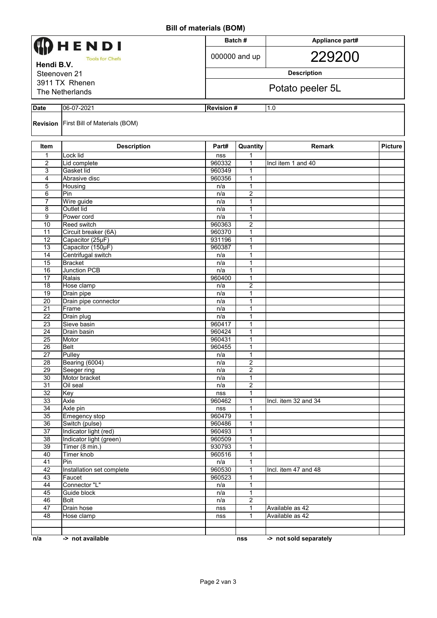**Bill of materials (BOM)**

| וייטשן פוגווסמו וט וווש             |                                                  |                  |                                  |                                    |                |  |  |  |
|-------------------------------------|--------------------------------------------------|------------------|----------------------------------|------------------------------------|----------------|--|--|--|
| HENDI                               |                                                  |                  | Batch#                           | Appliance part#                    |                |  |  |  |
| <b>Tools for Chefs</b>              |                                                  |                  | 000000 and up                    | 229200                             |                |  |  |  |
| Hendi B.V.<br>Steenoven 21          |                                                  |                  | <b>Description</b>               |                                    |                |  |  |  |
| 3911 TX Rhenen                      |                                                  |                  |                                  |                                    |                |  |  |  |
| Potato peeler 5L<br>The Netherlands |                                                  |                  |                                  |                                    |                |  |  |  |
| <b>Date</b>                         | 06-07-2021                                       |                  | <b>Revision#</b><br>1.0          |                                    |                |  |  |  |
|                                     | <b>Revision</b> First Bill of Materials (BOM)    |                  |                                  |                                    |                |  |  |  |
| <b>Item</b>                         | <b>Description</b>                               | Part#            | Quantity                         | Remark                             | <b>Picture</b> |  |  |  |
| $\mathbf{1}$<br>2                   | Lock lid<br>Lid complete                         | nss<br>960332    | 1<br>1                           | Incl item 1 and 40                 |                |  |  |  |
| 3                                   | Gasket lid                                       | 960349           | 1                                |                                    |                |  |  |  |
| 4                                   | Abrasive disc                                    | 960356           | 1                                |                                    |                |  |  |  |
| 5                                   | Housing                                          | n/a              | $\mathbf{1}$                     |                                    |                |  |  |  |
| 6                                   | Pin                                              | n/a              | 2                                |                                    |                |  |  |  |
| $\overline{7}$                      | Wire guide                                       | n/a              | 1                                |                                    |                |  |  |  |
| 8                                   | Outlet lid                                       | n/a              | 1                                |                                    |                |  |  |  |
| 9<br>10                             | Power cord<br>Reed switch                        | n/a<br>960363    | 1<br>2                           |                                    |                |  |  |  |
| 11                                  | Circuit breaker (6A)                             | 960370           | 1                                |                                    |                |  |  |  |
| 12                                  | Capacitor (25µF)                                 | 931196           | 1                                |                                    |                |  |  |  |
| $\overline{13}$                     | Capacitor (150µF)                                | 960387           | 1                                |                                    |                |  |  |  |
| 14                                  | Centrifugal switch                               | n/a              | 1                                |                                    |                |  |  |  |
| 15                                  | <b>Bracket</b>                                   | n/a              | 1                                |                                    |                |  |  |  |
| 16                                  | <b>Junction PCB</b>                              | n/a              | 1                                |                                    |                |  |  |  |
| 17                                  | Ralais                                           | 960400           | 1                                |                                    |                |  |  |  |
| 18<br>$\overline{19}$               | Hose clamp                                       | n/a              | 2<br>1                           |                                    |                |  |  |  |
| 20                                  | Drain pipe<br>Drain pipe connector               | n/a<br>n/a       | 1                                |                                    |                |  |  |  |
| 21                                  | Frame                                            | n/a              | 1                                |                                    |                |  |  |  |
| 22                                  | Drain plug                                       | n/a              | 1                                |                                    |                |  |  |  |
| 23                                  | Sieve basin                                      | 960417           | 1                                |                                    |                |  |  |  |
| 24                                  | Drain basin                                      | 960424           | $\mathbf{1}$                     |                                    |                |  |  |  |
| 25                                  | Motor                                            | 960431           | $\mathbf{1}$                     |                                    |                |  |  |  |
| 26                                  | <b>Belt</b>                                      | 960455           | 1                                |                                    |                |  |  |  |
| $\overline{27}$                     | Pulley                                           | n/a              | 1                                |                                    |                |  |  |  |
| 28<br>$\overline{29}$               | Bearing (6004)<br>Seeger ring                    | n/a<br>n/a       | $\overline{c}$<br>$\overline{2}$ |                                    |                |  |  |  |
| 30                                  | Motor bracket                                    | n/a              | 1                                |                                    |                |  |  |  |
| 31                                  | Oil seal                                         | n/a              | $\overline{2}$                   |                                    |                |  |  |  |
| 32                                  | Key                                              | nss              | $\mathbf{1}$                     |                                    |                |  |  |  |
| 33                                  | Axle                                             | 960462           | 1                                | Incl. item 32 and 34               |                |  |  |  |
| 34                                  | Axle pin                                         | nss              | 1                                |                                    |                |  |  |  |
| 35                                  | Emegency stop                                    | 960479           | 1                                |                                    |                |  |  |  |
| $\overline{36}$                     | Switch (pulse)                                   | 960486           | $\mathbf{1}$                     |                                    |                |  |  |  |
| $\overline{37}$<br>$\overline{38}$  | Indicator light (red)<br>Indicator light (green) | 960493<br>960509 | $\mathbf{1}$<br>1                |                                    |                |  |  |  |
| 39                                  | Timer (8 min.)                                   | 930793           | $\mathbf{1}$                     |                                    |                |  |  |  |
| 40                                  | <b>Timer knob</b>                                | 960516           | 1                                |                                    |                |  |  |  |
| 41                                  | Pin                                              | n/a              | $\mathbf{1}$                     |                                    |                |  |  |  |
| 42                                  | Installation set complete                        | 960530           | 1                                | Incl. item 47 and 48               |                |  |  |  |
| 43                                  | Faucet                                           | 960523           | $\mathbf{1}$                     |                                    |                |  |  |  |
| 44                                  | Connector "L"                                    | n/a              | $\mathbf{1}$                     |                                    |                |  |  |  |
| 45                                  | Guide block                                      | n/a              | 1                                |                                    |                |  |  |  |
| 46                                  | <b>Bolt</b>                                      | n/a              | $\overline{2}$                   |                                    |                |  |  |  |
| 47<br>48                            | Drain hose                                       | nss              | $\mathbf{1}$<br>1                | Available as 42<br>Available as 42 |                |  |  |  |
|                                     | Hose clamp                                       | nss              |                                  |                                    |                |  |  |  |
|                                     |                                                  |                  |                                  |                                    |                |  |  |  |
| n/a                                 | -> not available                                 |                  | nss                              | -> not sold separately             |                |  |  |  |